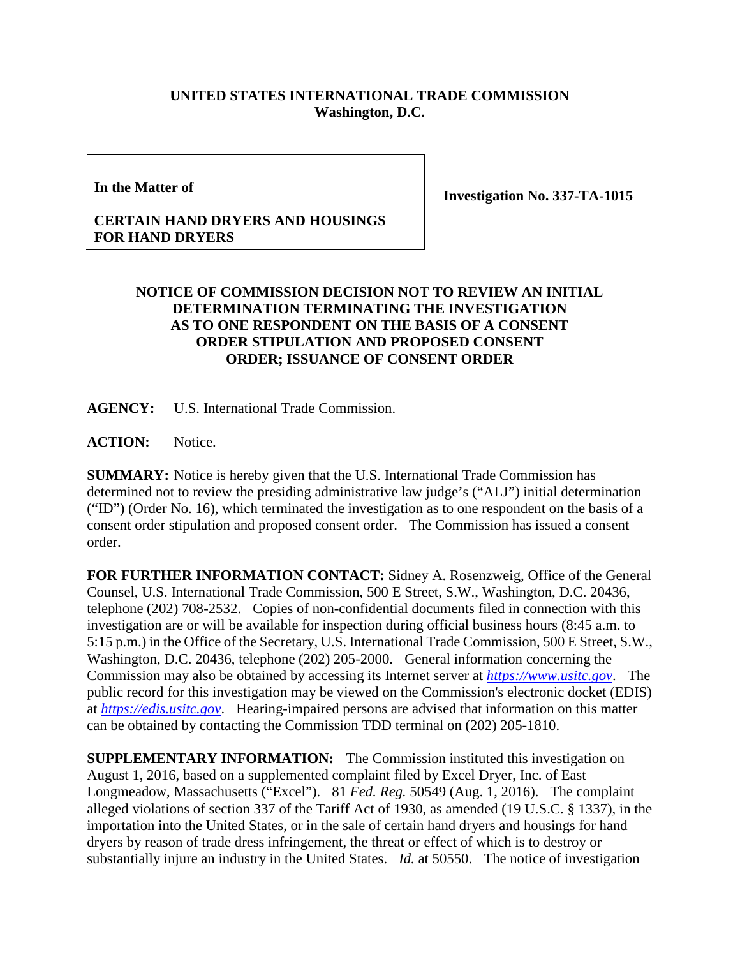## **UNITED STATES INTERNATIONAL TRADE COMMISSION Washington, D.C.**

**In the Matter of**

**Investigation No. 337-TA-1015**

## **CERTAIN HAND DRYERS AND HOUSINGS FOR HAND DRYERS**

## **NOTICE OF COMMISSION DECISION NOT TO REVIEW AN INITIAL DETERMINATION TERMINATING THE INVESTIGATION AS TO ONE RESPONDENT ON THE BASIS OF A CONSENT ORDER STIPULATION AND PROPOSED CONSENT ORDER; ISSUANCE OF CONSENT ORDER**

**AGENCY:** U.S. International Trade Commission.

**ACTION:** Notice.

**SUMMARY:** Notice is hereby given that the U.S. International Trade Commission has determined not to review the presiding administrative law judge's ("ALJ") initial determination ("ID") (Order No. 16), which terminated the investigation as to one respondent on the basis of a consent order stipulation and proposed consent order. The Commission has issued a consent order.

**FOR FURTHER INFORMATION CONTACT:** Sidney A. Rosenzweig, Office of the General Counsel, U.S. International Trade Commission, 500 E Street, S.W., Washington, D.C. 20436, telephone (202) 708-2532. Copies of non-confidential documents filed in connection with this investigation are or will be available for inspection during official business hours (8:45 a.m. to 5:15 p.m.) in the Office of the Secretary, U.S. International Trade Commission, 500 E Street, S.W., Washington, D.C. 20436, telephone (202) 205-2000. General information concerning the Commission may also be obtained by accessing its Internet server at *[https://www.usitc.gov](https://www.usitc.gov/)*. The public record for this investigation may be viewed on the Commission's electronic docket (EDIS) at *[https://edis.usitc.gov](https://edis.usitc.gov/)*. Hearing-impaired persons are advised that information on this matter can be obtained by contacting the Commission TDD terminal on (202) 205-1810.

**SUPPLEMENTARY INFORMATION:** The Commission instituted this investigation on August 1, 2016, based on a supplemented complaint filed by Excel Dryer, Inc. of East Longmeadow, Massachusetts ("Excel"). 81 *Fed. Reg.* 50549 (Aug. 1, 2016). The complaint alleged violations of section 337 of the Tariff Act of 1930, as amended (19 U.S.C. § 1337), in the importation into the United States, or in the sale of certain hand dryers and housings for hand dryers by reason of trade dress infringement, the threat or effect of which is to destroy or substantially injure an industry in the United States. *Id.* at 50550. The notice of investigation